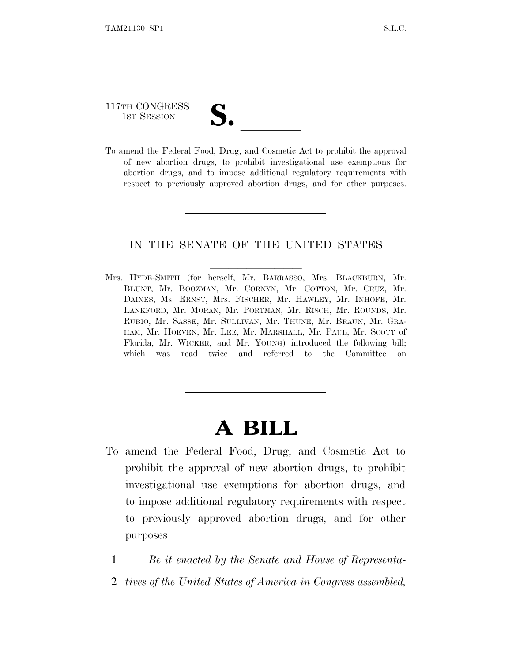## 117TH CONGRESS 117TH CONGRESS<br>
1ST SESSION<br>
To amend the Federal Food, Drug, and Cosmetic Act to prohibit the approval

lland and a state of the state of the state of the state of the state of the state of the state of the state o

of new abortion drugs, to prohibit investigational use exemptions for abortion drugs, and to impose additional regulatory requirements with respect to previously approved abortion drugs, and for other purposes.

## IN THE SENATE OF THE UNITED STATES

Mrs. HYDE-SMITH (for herself, Mr. BARRASSO, Mrs. BLACKBURN, Mr. BLUNT, Mr. BOOZMAN, Mr. CORNYN, Mr. COTTON, Mr. CRUZ, Mr. DAINES, Ms. ERNST, Mrs. FISCHER, Mr. HAWLEY, Mr. INHOFE, Mr. LANKFORD, Mr. MORAN, Mr. PORTMAN, Mr. RISCH, Mr. ROUNDS, Mr. RUBIO, Mr. SASSE, Mr. SULLIVAN, Mr. THUNE, Mr. BRAUN, Mr. GRA-HAM, Mr. HOEVEN, Mr. LEE, Mr. MARSHALL, Mr. PAUL, Mr. SCOTT of Florida, Mr. WICKER, and Mr. YOUNG) introduced the following bill; which was read twice and referred to the Committee on

## **A BILL**

- To amend the Federal Food, Drug, and Cosmetic Act to prohibit the approval of new abortion drugs, to prohibit investigational use exemptions for abortion drugs, and to impose additional regulatory requirements with respect to previously approved abortion drugs, and for other purposes.
	- 1 *Be it enacted by the Senate and House of Representa-*
	- 2 *tives of the United States of America in Congress assembled,*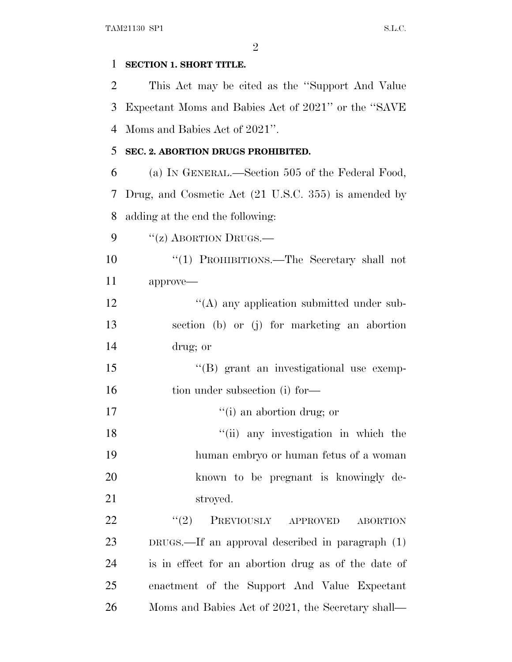| 1  | SECTION 1. SHORT TITLE.                                         |
|----|-----------------------------------------------------------------|
| 2  | This Act may be cited as the "Support And Value"                |
| 3  | Expectant Moms and Babies Act of 2021" or the "SAVE"            |
| 4  | Moms and Babies Act of 2021".                                   |
| 5  | SEC. 2. ABORTION DRUGS PROHIBITED.                              |
| 6  | (a) IN GENERAL.—Section 505 of the Federal Food,                |
| 7  | Drug, and Cosmetic Act (21 U.S.C. 355) is amended by            |
| 8  | adding at the end the following:                                |
| 9  | "(z) ABORTION DRUGS.—                                           |
| 10 | "(1) PROHIBITIONS.—The Secretary shall not                      |
| 11 | approve-                                                        |
| 12 | $\lq\lq$ any application submitted under sub-                   |
| 13 | section (b) or (j) for marketing an abortion                    |
| 14 | drug; or                                                        |
| 15 | "(B) grant an investigational use exemp-                        |
| 16 | tion under subsection (i) for-                                  |
| 17 | "(i) an abortion drug; or                                       |
| 18 | "(ii) any investigation in which the                            |
| 19 | human embryo or human fetus of a woman                          |
| 20 | known to be pregnant is knowingly de-                           |
| 21 | stroyed.                                                        |
| 22 | (2)<br>PREVIOUSLY<br>${\small \bf APPROVED}$<br><b>ABORTION</b> |
| 23 | $DRUGS$ .—If an approval described in paragraph $(1)$           |
| 24 | is in effect for an abortion drug as of the date of             |
| 25 | enactment of the Support And Value Expectant                    |
| 26 | Moms and Babies Act of 2021, the Secretary shall—               |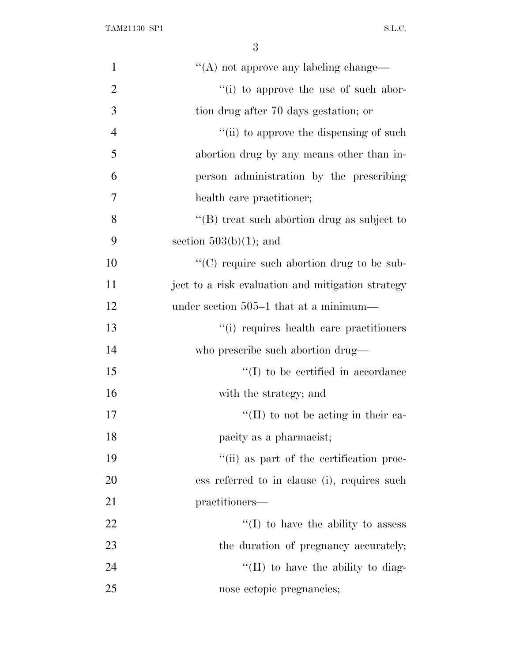| $\mathbf{1}$   | "(A) not approve any labeling change—             |
|----------------|---------------------------------------------------|
| $\overline{2}$ | "(i) to approve the use of such abor-             |
| 3              | tion drug after 70 days gestation; or             |
| $\overline{4}$ | "(ii) to approve the dispensing of such           |
| 5              | abortion drug by any means other than in-         |
| 6              | person administration by the prescribing          |
| 7              | health care practitioner;                         |
| 8              | " $(B)$ treat such abortion drug as subject to    |
| 9              | section $503(b)(1)$ ; and                         |
| 10             | $\lq\lq$ require such abortion drug to be sub-    |
| 11             | ject to a risk evaluation and mitigation strategy |
| 12             | under section 505–1 that at a minimum—            |
| 13             | "(i) requires health care practitioners           |
| 14             | who prescribe such abortion drug—                 |
| 15             | $\lq\lq$ to be certified in accordance            |
| 16             | with the strategy; and                            |
| 17             | $\lq\lq$ (II) to not be acting in their ca-       |
| 18             | pacity as a pharmacist;                           |
| 19             | "(ii) as part of the certification proc-          |
| 20             | ess referred to in clause (i), requires such      |
| 21             | practitioners—                                    |
| 22             | $\lq (I)$ to have the ability to assess           |
| 23             | the duration of pregnancy accurately;             |
| 24             | "(II) to have the ability to diag-                |
| 25             | nose ectopic pregnancies;                         |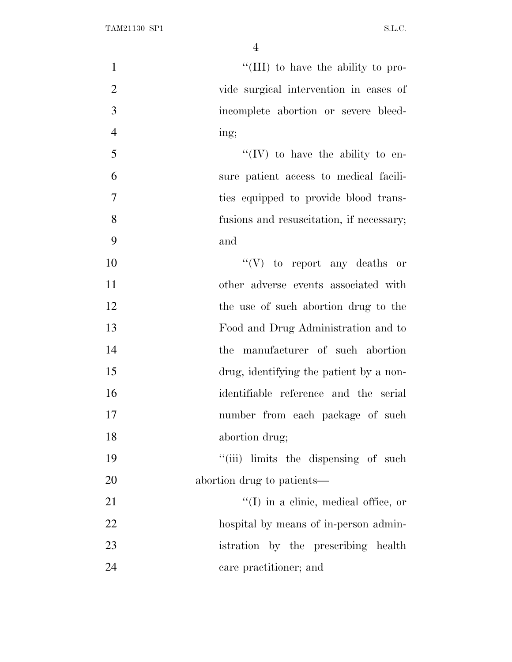| $\mathbf{1}$   | "(III) to have the ability to pro-        |
|----------------|-------------------------------------------|
| $\overline{2}$ | vide surgical intervention in cases of    |
| 3              | incomplete abortion or severe bleed-      |
| $\overline{4}$ | ing;                                      |
| 5              | "(IV) to have the ability to en-          |
| 6              | sure patient access to medical facili-    |
| $\overline{7}$ | ties equipped to provide blood trans-     |
| 8              | fusions and resuscitation, if necessary;  |
| 9              | and                                       |
| 10             | $``(V)$ to report any deaths or           |
| 11             | other adverse events associated with      |
| 12             | the use of such abortion drug to the      |
| 13             | Food and Drug Administration and to       |
| 14             | the manufacturer of such abortion         |
| 15             | drug, identifying the patient by a non-   |
| 16             | identifiable reference and the serial     |
| 17             | number from each package of such          |
| 18             | abortion drug;                            |
| 19             | "(iii) limits the dispensing of such      |
| 20             | abortion drug to patients—                |
| 21             | $\lq (I)$ in a clinic, medical office, or |
| 22             | hospital by means of in-person admin-     |
| 23             | istration by the prescribing health       |
| 24             | care practitioner; and                    |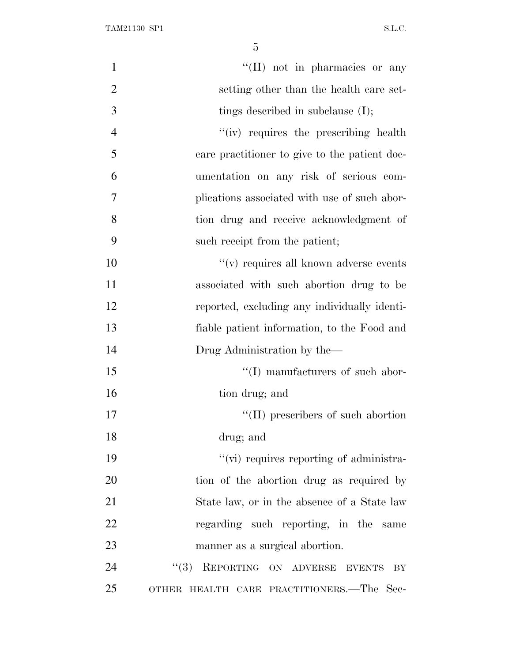| $\mathbf{1}$   | "(II) not in pharmacies or any                |
|----------------|-----------------------------------------------|
| $\overline{2}$ | setting other than the health care set-       |
| 3              | tings described in subclause $(I);$           |
| $\overline{4}$ | "(iv) requires the prescribing health         |
| 5              | care practitioner to give to the patient doc- |
| 6              | umentation on any risk of serious com-        |
| 7              | plications associated with use of such abor-  |
| 8              | tion drug and receive acknowledgment of       |
| 9              | such receipt from the patient;                |
| 10             | $\lq\lq$ requires all known adverse events    |
| 11             | associated with such abortion drug to be      |
| 12             | reported, excluding any individually identi-  |
| 13             | fiable patient information, to the Food and   |
| 14             | Drug Administration by the—                   |
| 15             | $\lq\lq$ (I) manufacturers of such abor-      |
| 16             | tion drug; and                                |
| 17             | $\lq\lq$ (II) prescribers of such abortion    |
| 18             | drug; and                                     |
| 19             | "(vi) requires reporting of administra-       |
| 20             | tion of the abortion drug as required by      |
| 21             | State law, or in the absence of a State law   |
| 22             | regarding such reporting, in the same         |
| 23             | manner as a surgical abortion.                |
| 24             | REPORTING ON ADVERSE EVENTS<br>(3)<br>BY      |
| 25             | OTHER HEALTH CARE PRACTITIONERS.—The Sec-     |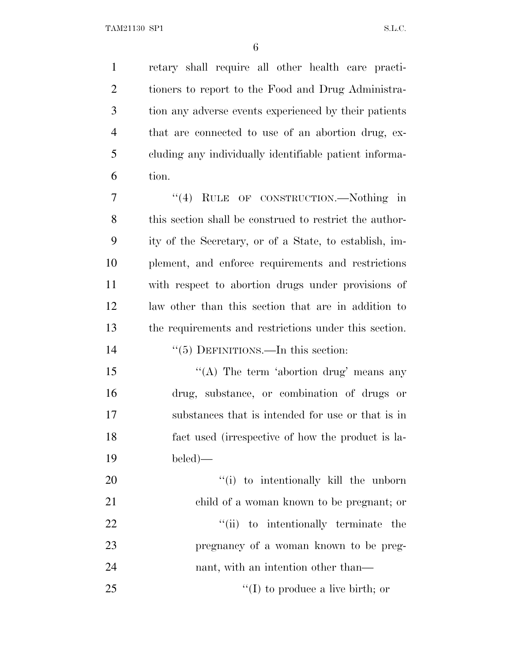retary shall require all other health care practi- tioners to report to the Food and Drug Administra- tion any adverse events experienced by their patients that are connected to use of an abortion drug, ex- cluding any individually identifiable patient informa-tion.

7 "(4) RULE OF CONSTRUCTION.—Nothing in this section shall be construed to restrict the author- ity of the Secretary, or of a State, to establish, im- plement, and enforce requirements and restrictions with respect to abortion drugs under provisions of law other than this section that are in addition to the requirements and restrictions under this section.

14  $\frac{1}{5}$  DEFINITIONS.—In this section:

15 "(A) The term 'abortion drug' means any drug, substance, or combination of drugs or substances that is intended for use or that is in fact used (irrespective of how the product is la-beled)—

 $\frac{1}{20}$  to intentionally kill the unborn child of a woman known to be pregnant; or  $\frac{1}{1}$  to intentionally terminate the pregnancy of a woman known to be preg-24 nant, with an intention other than— 25 ''(I) to produce a live birth; or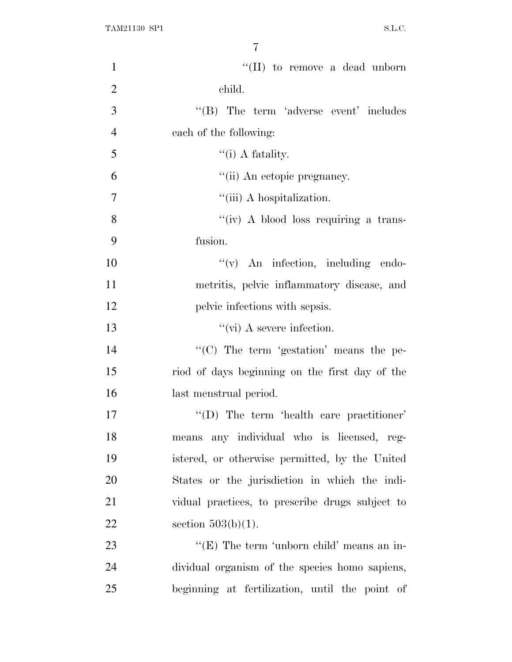| $\mathbf{1}$   | "(II) to remove a dead unborn                   |
|----------------|-------------------------------------------------|
| $\overline{2}$ | child.                                          |
| 3              | $\lq\lq$ The term 'adverse event' includes      |
| $\overline{4}$ | each of the following:                          |
| 5              | $\lq\lq$ (i) A fatality.                        |
| 6              | "(ii) An ectopic pregnancy.                     |
| 7              | "(iii) A hospitalization.                       |
| 8              | "(iv) A blood loss requiring a trans-           |
| 9              | fusion.                                         |
| 10             | "(v) An infection, including endo-              |
| 11             | metritis, pelvic inflammatory disease, and      |
| 12             | pelvic infections with sepsis.                  |
| 13             | $\lq\lq$ (vi) A severe infection.               |
| 14             | "(C) The term 'gestation' means the pe-         |
| 15             | riod of days beginning on the first day of the  |
| 16             | last menstrual period.                          |
| 17             | $\lq\lq$ . The term 'health care practitioner'  |
| 18             | any individual who is licensed, reg-<br>means   |
| 19             | istered, or otherwise permitted, by the United  |
| 20             | States or the jurisdiction in which the indi-   |
| 21             | vidual practices, to prescribe drugs subject to |
| 22             | section $503(b)(1)$ .                           |
| 23             | " $(E)$ The term 'unborn child' means an in-    |
| 24             | dividual organism of the species homo sapiens,  |
| 25             | beginning at fertilization, until the point of  |